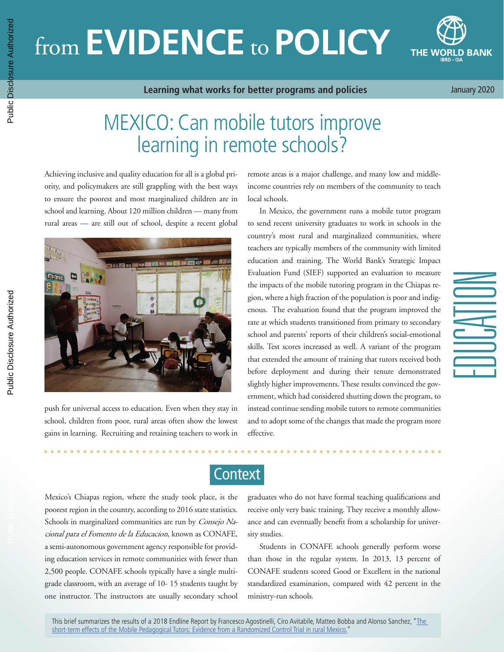# from **EVIDENCE** to **POLICY**



**Learning what works for better programs and policies**

January 2020

EDUCATION

## MEXICO: Can mobile tutors improve learning in remote schools?

Achieving inclusive and quality education for all is a global priority, and policymakers are still grappling with the best ways to ensure the poorest and most marginalized children are in school and learning. About 120 million children -- many from rural areas –– are still out of school, despite a recent global



push for universal access to education. Even when they stay in school, children from poor, rural areas often show the lowest gains in learning. Recruiting and retaining teachers to work in remote areas is a major challenge, and many low and middleincome countries rely on members of the community to teach local schools.

In Mexico, the government runs a mobile tutor program to send recent university graduates to work in schools in the country's most rural and marginalized communities, where teachers are typically members of the community with limited education and training. The World Bank's Strategic Impact Evaluation Fund (SIEF) supported an evaluation to measure the impacts of the mobile tutoring program in the Chiapas region, where a high fraction of the population is poor and indigenous. The evaluation found that the program improved the rate at which students transitioned from primary to secondary school and parents' reports of their children's social-emotional skills. Test scores increased as well. A variant of the program that extended the amount of training that tutors received both before deployment and during their tenure demonstrated slightly higher improvements. These results convinced the government, which had considered shutting down the program, to instead continue sending mobile tutors to remote communities and to adopt some of the changes that made the program more effective.

**Context** 

Mexico's Chiapas region, where the study took place, is the poorest region in the country, according to 2016 state statistics. Schools in marginalized communities are run by Consejo Nacional para el Fomento de la Educacion, known as CONAFE, a semi-autonomous government agency responsible for providing education services in remote communities with fewer than 2,500 people. CONAFE schools typically have a single multigrade classroom, with an average of 10- 15 students taught by one instructor. The instructors are usually secondary school graduates who do not have formal teaching qualifications and receive only very basic training. They receive a monthly allowance and can eventually benefit from a scholarship for university studies.

Students in CONAFE schools generally perform worse than those in the regular system. In 2013, 13 percent of CONAFE students scored Good or Excellent in the national standardized examination, compared with 42 percent in the ministry-run schools.

This brief summarizes the results of a 2018 Endline Report by Francesco Agostinelli, Ciro Avitabile, Matteo Bobba and Alonso Sanchez, "<u>The</u> [short-term effects of the Mobile Pedagogical Tutors: Evidence from a Randomized Control Trial in rural Mexico."](http://pubdocs.worldbank.org/en/385251543504884430/Mexico-CONAFE-Ciro-endline.pdf)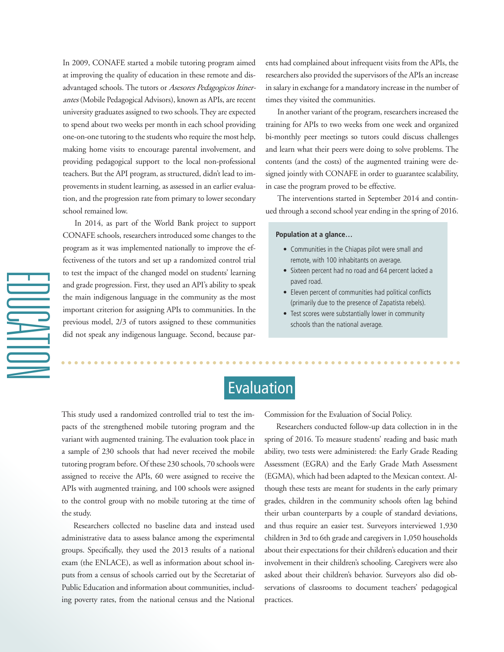In 2009, CONAFE started a mobile tutoring program aimed at improving the quality of education in these remote and disadvantaged schools. The tutors or Asesores Pedagogicos Itinerantes (Mobile Pedagogical Advisors), known as APIs, are recent university graduates assigned to two schools. They are expected to spend about two weeks per month in each school providing one-on-one tutoring to the students who require the most help, making home visits to encourage parental involvement, and providing pedagogical support to the local non-professional teachers. But the API program, as structured, didn't lead to improvements in student learning, as assessed in an earlier evaluation, and the progression rate from primary to lower secondary school remained low.

In 2014, as part of the World Bank project to support CONAFE schools, researchers introduced some changes to the program as it was implemented nationally to improve the effectiveness of the tutors and set up a randomized control trial to test the impact of the changed model on students' learning and grade progression. First, they used an API's ability to speak the main indigenous language in the community as the most important criterion for assigning APIs to communities. In the previous model, 2/3 of tutors assigned to these communities did not speak any indigenous language. Second, because par-

 $\equiv$ 

ents had complained about infrequent visits from the APIs, the researchers also provided the supervisors of the APIs an increase in salary in exchange for a mandatory increase in the number of times they visited the communities.

In another variant of the program, researchers increased the training for APIs to two weeks from one week and organized bi-monthly peer meetings so tutors could discuss challenges and learn what their peers were doing to solve problems. The contents (and the costs) of the augmented training were designed jointly with CONAFE in order to guarantee scalability, in case the program proved to be effective.

The interventions started in September 2014 and continued through a second school year ending in the spring of 2016.

#### **Population at a glance…**

- Communities in the Chiapas pilot were small and remote, with 100 inhabitants on average.
- Sixteen percent had no road and 64 percent lacked a paved road.
- Eleven percent of communities had political conflicts (primarily due to the presence of Zapatista rebels).
- Test scores were substantially lower in community schools than the national average.

## Evaluation

This study used a randomized controlled trial to test the impacts of the strengthened mobile tutoring program and the variant with augmented training. The evaluation took place in a sample of 230 schools that had never received the mobile tutoring program before. Of these 230 schools, 70 schools were assigned to receive the APIs, 60 were assigned to receive the APIs with augmented training, and 100 schools were assigned to the control group with no mobile tutoring at the time of the study.

Researchers collected no baseline data and instead used administrative data to assess balance among the experimental groups. Specifically, they used the 2013 results of a national exam (the ENLACE), as well as information about school inputs from a census of schools carried out by the Secretariat of Public Education and information about communities, including poverty rates, from the national census and the National Commission for the Evaluation of Social Policy.

Researchers conducted follow-up data collection in in the spring of 2016. To measure students' reading and basic math ability, two tests were administered: the Early Grade Reading Assessment (EGRA) and the Early Grade Math Assessment (EGMA), which had been adapted to the Mexican context. Although these tests are meant for students in the early primary grades, children in the community schools often lag behind their urban counterparts by a couple of standard deviations, and thus require an easier test. Surveyors interviewed 1,930 children in 3rd to 6th grade and caregivers in 1,050 households about their expectations for their children's education and their involvement in their children's schooling. Caregivers were also asked about their children's behavior. Surveyors also did observations of classrooms to document teachers' pedagogical practices.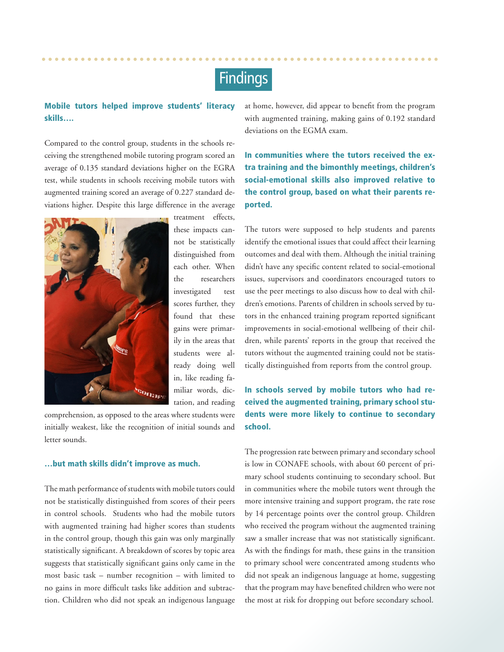## Findings

#### Mobile tutors helped improve students' literacy skills….

Compared to the control group, students in the schools receiving the strengthened mobile tutoring program scored an average of 0.135 standard deviations higher on the EGRA test, while students in schools receiving mobile tutors with augmented training scored an average of 0.227 standard deviations higher. Despite this large difference in the average



treatment effects, these impacts cannot be statistically distinguished from each other. When the researchers investigated test scores further, they found that these gains were primarily in the areas that students were already doing well in, like reading familiar words, dictation, and reading

comprehension, as opposed to the areas where students were initially weakest, like the recognition of initial sounds and letter sounds.

#### …but math skills didn't improve as much.

The math performance of students with mobile tutors could not be statistically distinguished from scores of their peers in control schools. Students who had the mobile tutors with augmented training had higher scores than students in the control group, though this gain was only marginally statistically significant. A breakdown of scores by topic area suggests that statistically significant gains only came in the most basic task – number recognition – with limited to no gains in more difficult tasks like addition and subtraction. Children who did not speak an indigenous language

at home, however, did appear to benefit from the program with augmented training, making gains of 0.192 standard deviations on the EGMA exam.

In communities where the tutors received the extra training and the bimonthly meetings, children's social-emotional skills also improved relative to the control group, based on what their parents reported.

The tutors were supposed to help students and parents identify the emotional issues that could affect their learning outcomes and deal with them. Although the initial training didn't have any specific content related to social-emotional issues, supervisors and coordinators encouraged tutors to use the peer meetings to also discuss how to deal with children's emotions. Parents of children in schools served by tutors in the enhanced training program reported significant improvements in social-emotional wellbeing of their children, while parents' reports in the group that received the tutors without the augmented training could not be statistically distinguished from reports from the control group.

In schools served by mobile tutors who had received the augmented training, primary school students were more likely to continue to secondary school.

The progression rate between primary and secondary school is low in CONAFE schools, with about 60 percent of primary school students continuing to secondary school. But in communities where the mobile tutors went through the more intensive training and support program, the rate rose by 14 percentage points over the control group. Children who received the program without the augmented training saw a smaller increase that was not statistically significant. As with the findings for math, these gains in the transition to primary school were concentrated among students who did not speak an indigenous language at home, suggesting that the program may have benefited children who were not the most at risk for dropping out before secondary school.